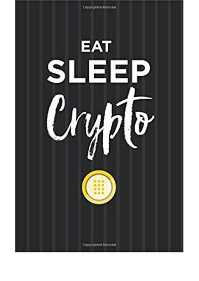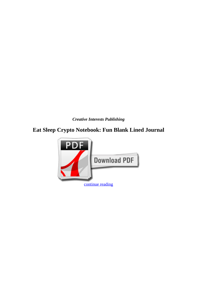*Creative Interests Publishing*

## **Eat Sleep Crypto Notebook: Fun Blank Lined Journal**

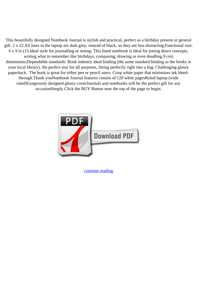This beautifully designed Notebook Journal is stylish and practical, perfect as a birthday present or general gift. 2 x 22.All lines in the laptop are dark grey, instead of black, so they are less distracting.Functional size: 6 x 9 in (15.Ideal style for journalling or noting: This lined notebook is ideal for jotting down concepts, writing what to remember like birthdays, composing, drawing or even doodling.9 cm) dimensions;Dependable standards: Book industry ideal binding (the same standard binding as the books in your local library). the perfect size for all purposes, fitting perfectly right into a bag. Challenging glossy paperback. The book is great for either pen or pencil users. Crisp white paper that minimizes ink bleedthrough.Thank youNotebook Journal features consist of:120 white pagesRuled laptop (wide ruled)Gorgeously designed glossy coverJournals and notebooks will be the perfect gift for any occasionSimply Click the BUY Button near the top of the page to begin.



[continue reading](http://bit.ly/2Tge8Fv)